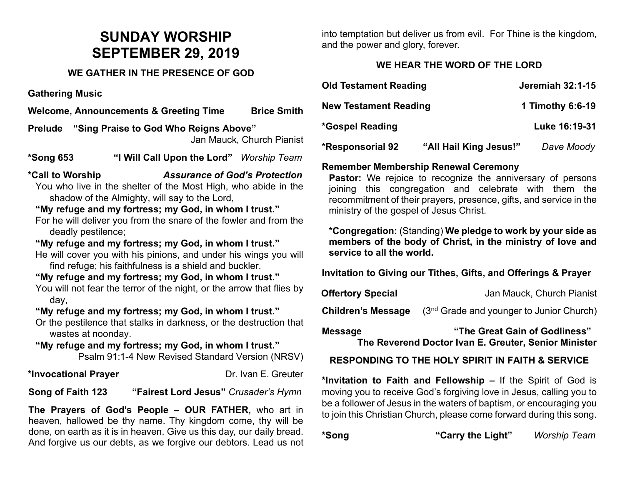# **SUNDAY WORSHIP SEPTEMBER 29, 2019**

## **WE GATHER IN THE PRESENCE OF GOD**

**Gathering Music**

**Welcome, Announcements & Greeting Time Brice Smith** 

**Prelude "Sing Praise to God Who Reigns Above"**  Jan Mauck, Church Pianist

**\*Song 653 "I Will Call Upon the Lord"** *Worship Team*

**\*Call to Worship** *Assurance of God's Protection*

You who live in the shelter of the Most High, who abide in the shadow of the Almighty, will say to the Lord,

# **"My refuge and my fortress; my God, in whom I trust."**

For he will deliver you from the snare of the fowler and from the deadly pestilence;

#### **"My refuge and my fortress; my God, in whom I trust."**

He will cover you with his pinions, and under his wings you will find refuge; his faithfulness is a shield and buckler.

#### **"My refuge and my fortress; my God, in whom I trust."**

You will not fear the terror of the night, or the arrow that flies by day,

#### **"My refuge and my fortress; my God, in whom I trust."**

Or the pestilence that stalks in darkness, or the destruction that wastes at noonday.

# **"My refuge and my fortress; my God, in whom I trust."** Psalm 91:1-4 New Revised Standard Version (NRSV)

## \*Invocational Prayer **business** Dr. Ivan E. Greuter

**Song of Faith 123 "Fairest Lord Jesus"** *Crusader's Hymn*

**The Prayers of God's People – OUR FATHER,** who art in heaven, hallowed be thy name. Thy kingdom come, thy will be done, on earth as it is in heaven. Give us this day, our daily bread. And forgive us our debts, as we forgive our debtors. Lead us not into temptation but deliver us from evil. For Thine is the kingdom, and the power and glory, forever.

# **WE HEAR THE WORD OF THE LORD**

| <b>Old Testament Reading</b> |                        | <b>Jeremiah 32:1-15</b> |
|------------------------------|------------------------|-------------------------|
| <b>New Testament Reading</b> |                        | 1 Timothy 6:6-19        |
| *Gospel Reading              |                        | Luke 16:19-31           |
| <b>*Responsorial 92</b>      | "All Hail King Jesus!" | Dave Moody              |

# **Remember Membership Renewal Ceremony**

**Pastor:** We rejoice to recognize the anniversary of persons joining this congregation and celebrate with them the recommitment of their prayers, presence, gifts, and service in the ministry of the gospel of Jesus Christ.

**\*Congregation:** (Standing) **We pledge to work by your side as members of the body of Christ, in the ministry of love and service to all the world.**

**Invitation to Giving our Tithes, Gifts, and Offerings & Prayer**

| <b>Offertory Special</b> | Jan Mauck, Church Pianist |
|--------------------------|---------------------------|
|                          |                           |

**Children's Message** (3<sup>nd</sup> Grade and younger to Junior Church)

**Message "The Great Gain of Godliness" The Reverend Doctor Ivan E. Greuter, Senior Minister**

# **RESPONDING TO THE HOLY SPIRIT IN FAITH & SERVICE**

**\*Invitation to Faith and Fellowship –** If the Spirit of God is moving you to receive God's forgiving love in Jesus, calling you to be a follower of Jesus in the waters of baptism, or encouraging you to join this Christian Church, please come forward during this song.